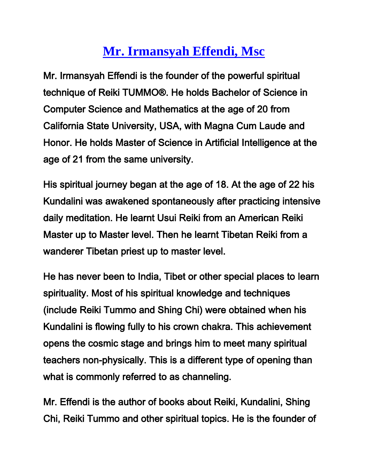## **[Mr. Irmansyah Effendi, Msc](http://www.padmacahaya.com/GrandMaster.html)**

Mr. Irmansyah Effendi is the founder of the powerful spiritual technique of Reiki TUMMO®. He holds Bachelor of Science in Computer Science and Mathematics at the age of 20 from California State University, USA, with Magna Cum Laude and Honor. He holds Master of Science in Artificial Intelligence at the age of 21 from the same university.

His spiritual journey began at the age of 18. At the age of 22 his Kundalini was awakened spontaneously after practicing intensive daily meditation. He learnt Usui Reiki from an American Reiki Master up to Master level. Then he learnt Tibetan Reiki from a wanderer Tibetan priest up to master level.

He has never been to India, Tibet or other special places to learn spirituality. Most of his spiritual knowledge and techniques (include Reiki Tummo and Shing Chi) were obtained when his Kundalini is flowing fully to his crown chakra. This achievement opens the cosmic stage and brings him to meet many spiritual teachers non-physically. This is a different type of opening than what is commonly referred to as channeling.

Mr. Effendi is the author of books about Reiki, Kundalini, Shing Chi, Reiki Tummo and other spiritual topics. He is the founder of